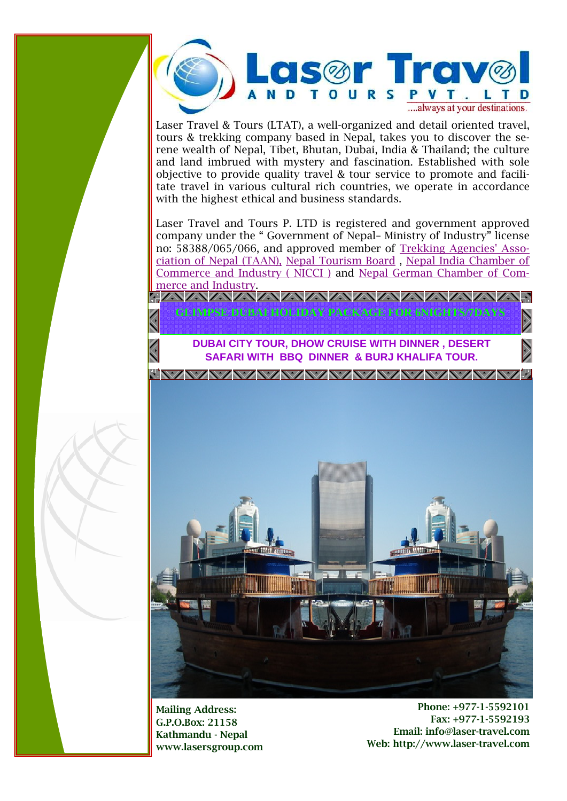

Laser Travel & Tours (LTAT), a well-organized and detail oriented travel, tours & trekking company based in Nepal, takes you to discover the serene wealth of Nepal, Tibet, Bhutan, Dubai, India & Thailand; the culture and land imbrued with mystery and fascination. Established with sole objective to provide quality travel & tour service to promote and facilitate travel in various cultural rich countries, we operate in accordance with the highest ethical and business standards.

Laser Travel and Tours P. LTD is registered and government approved company under the " Government of Nepal– Ministry of Industry" license no: 58388/065/066, and approved member of Trekking Agencies' Association of Nepal (TAAN), Nepal Tourism Board , Nepal India Chamber of Commerce and Industry ( NICCI ) and Nepal German Chamber of Commerce and Industry.



Mailing Address: G.P.O.Box: 21158 Kathmandu - Nepal www.lasersgroup.com

Phone: +977-1-5592101 Fax: +977-1-5592193 Email: info@laser-travel.com Web: http://www.laser-travel.com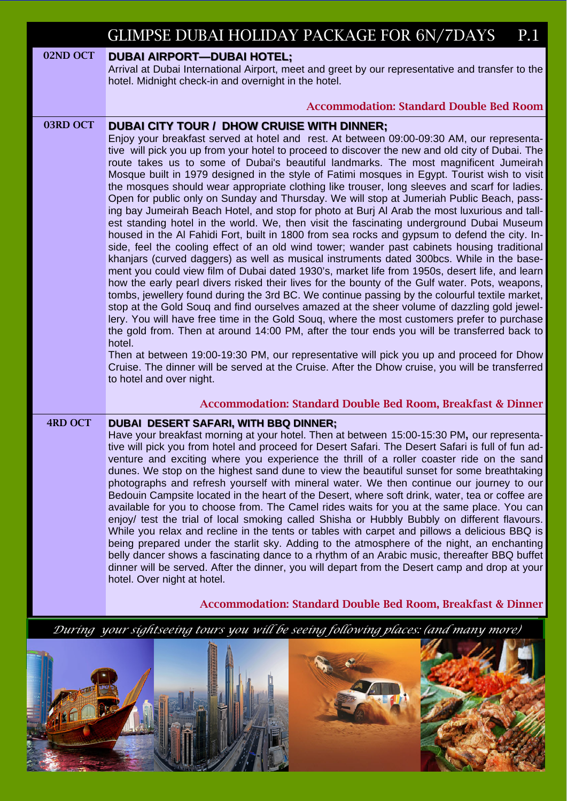|                | <b>GLIMPSE DUBAI HOLIDAY PACKAGE FOR 6N/7DAYS</b><br>P.1                                                                                                                                                                                                                                                                                                                                                                                                                                                                                                                                                                                                                                                                                                                                                                                                                                                                                                                                                                                                                                                                                                                                                                                                                                                                                                                                                                                                                                                                                                                                                                                                                                                                                                                                                                                                                                                                                                                   |
|----------------|----------------------------------------------------------------------------------------------------------------------------------------------------------------------------------------------------------------------------------------------------------------------------------------------------------------------------------------------------------------------------------------------------------------------------------------------------------------------------------------------------------------------------------------------------------------------------------------------------------------------------------------------------------------------------------------------------------------------------------------------------------------------------------------------------------------------------------------------------------------------------------------------------------------------------------------------------------------------------------------------------------------------------------------------------------------------------------------------------------------------------------------------------------------------------------------------------------------------------------------------------------------------------------------------------------------------------------------------------------------------------------------------------------------------------------------------------------------------------------------------------------------------------------------------------------------------------------------------------------------------------------------------------------------------------------------------------------------------------------------------------------------------------------------------------------------------------------------------------------------------------------------------------------------------------------------------------------------------------|
| 02ND OCT       | <b>DUBAI AIRPORT-DUBAI HOTEL;</b><br>Arrival at Dubai International Airport, meet and greet by our representative and transfer to the<br>hotel. Midnight check-in and overnight in the hotel.<br><b>Accommodation: Standard Double Bed Room</b>                                                                                                                                                                                                                                                                                                                                                                                                                                                                                                                                                                                                                                                                                                                                                                                                                                                                                                                                                                                                                                                                                                                                                                                                                                                                                                                                                                                                                                                                                                                                                                                                                                                                                                                            |
|                |                                                                                                                                                                                                                                                                                                                                                                                                                                                                                                                                                                                                                                                                                                                                                                                                                                                                                                                                                                                                                                                                                                                                                                                                                                                                                                                                                                                                                                                                                                                                                                                                                                                                                                                                                                                                                                                                                                                                                                            |
| 03RD OCT       | <b>DUBAI CITY TOUR / DHOW CRUISE WITH DINNER;</b><br>Enjoy your breakfast served at hotel and rest. At between 09:00-09:30 AM, our representa-<br>tive will pick you up from your hotel to proceed to discover the new and old city of Dubai. The<br>route takes us to some of Dubai's beautiful landmarks. The most magnificent Jumeirah<br>Mosque built in 1979 designed in the style of Fatimi mosques in Egypt. Tourist wish to visit<br>the mosques should wear appropriate clothing like trouser, long sleeves and scarf for ladies.<br>Open for public only on Sunday and Thursday. We will stop at Jumeriah Public Beach, pass-<br>ing bay Jumeirah Beach Hotel, and stop for photo at Burj AI Arab the most luxurious and tall-<br>est standing hotel in the world. We, then visit the fascinating underground Dubai Museum<br>housed in the AI Fahidi Fort, built in 1800 from sea rocks and gypsum to defend the city. In-<br>side, feel the cooling effect of an old wind tower; wander past cabinets housing traditional<br>khanjars (curved daggers) as well as musical instruments dated 300bcs. While in the base-<br>ment you could view film of Dubai dated 1930's, market life from 1950s, desert life, and learn<br>how the early pearl divers risked their lives for the bounty of the Gulf water. Pots, weapons,<br>tombs, jewellery found during the 3rd BC. We continue passing by the colourful textile market,<br>stop at the Gold Souq and find ourselves amazed at the sheer volume of dazzling gold jewel-<br>lery. You will have free time in the Gold Souq, where the most customers prefer to purchase<br>the gold from. Then at around 14:00 PM, after the tour ends you will be transferred back to<br>hotel.<br>Then at between 19:00-19:30 PM, our representative will pick you up and proceed for Dhow<br>Cruise. The dinner will be served at the Cruise. After the Dhow cruise, you will be transferred<br>to hotel and over night. |
|                | <b>Accommodation: Standard Double Bed Room, Breakfast &amp; Dinner</b>                                                                                                                                                                                                                                                                                                                                                                                                                                                                                                                                                                                                                                                                                                                                                                                                                                                                                                                                                                                                                                                                                                                                                                                                                                                                                                                                                                                                                                                                                                                                                                                                                                                                                                                                                                                                                                                                                                     |
| <b>4RD OCT</b> | <b>DUBAI DESERT SAFARI, WITH BBQ DINNER;</b><br>Have your breakfast morning at your hotel. Then at between 15:00-15:30 PM, our representa-<br>tive will pick you from hotel and proceed for Desert Safari. The Desert Safari is full of fun ad-<br>venture and exciting where you experience the thrill of a roller coaster ride on the sand<br>dunes. We stop on the highest sand dune to view the beautiful sunset for some breathtaking<br>photographs and refresh yourself with mineral water. We then continue our journey to our<br>Bedouin Campsite located in the heart of the Desert, where soft drink, water, tea or coffee are<br>available for you to choose from. The Camel rides waits for you at the same place. You can<br>enjoy/ test the trial of local smoking called Shisha or Hubbly Bubbly on different flavours.<br>While you relax and recline in the tents or tables with carpet and pillows a delicious BBQ is<br>being prepared under the starlit sky. Adding to the atmosphere of the night, an enchanting<br>belly dancer shows a fascinating dance to a rhythm of an Arabic music, thereafter BBQ buffet<br>dinner will be served. After the dinner, you will depart from the Desert camp and drop at your<br>hotel. Over night at hotel.                                                                                                                                                                                                                                                                                                                                                                                                                                                                                                                                                                                                                                                                                                    |
|                | <b>Accommodation: Standard Double Bed Room, Breakfast &amp; Dinner</b>                                                                                                                                                                                                                                                                                                                                                                                                                                                                                                                                                                                                                                                                                                                                                                                                                                                                                                                                                                                                                                                                                                                                                                                                                                                                                                                                                                                                                                                                                                                                                                                                                                                                                                                                                                                                                                                                                                     |
|                | During your sightseeing tours you will be seeing following places: (and many more)                                                                                                                                                                                                                                                                                                                                                                                                                                                                                                                                                                                                                                                                                                                                                                                                                                                                                                                                                                                                                                                                                                                                                                                                                                                                                                                                                                                                                                                                                                                                                                                                                                                                                                                                                                                                                                                                                         |